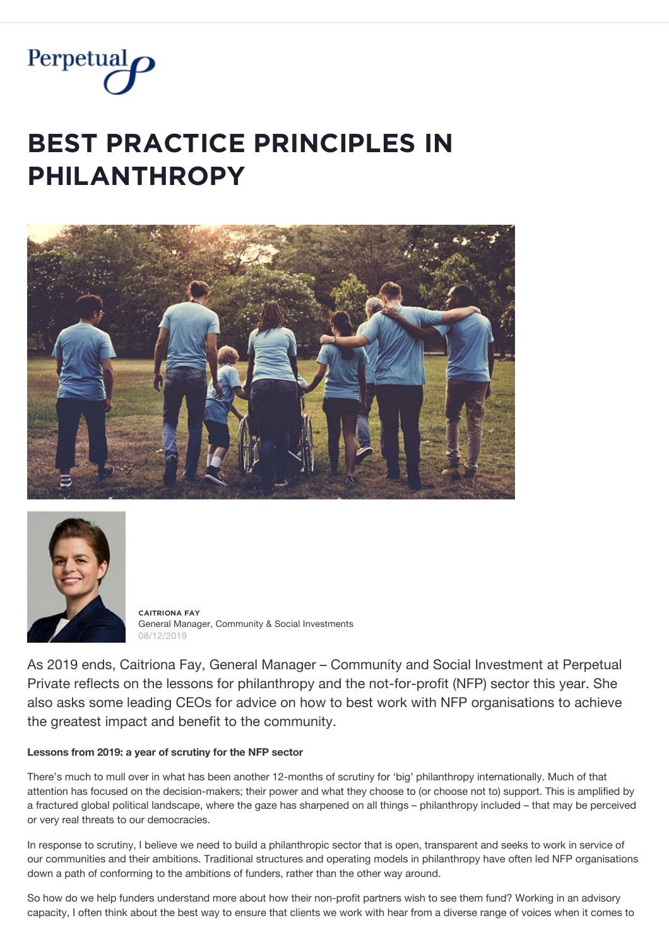

# **BEST PRACTICE PRINCIPLES IN**  $PHILANTHROPY$





**ČǺİȚŘİǾŇǺ FǺỲ** General Manager, Community & Social Investments 08/12/2019

As 2019 ends, Caitriona Fay, General Manager – Community and Social Investment at Perpetual Private reflects on the lessons for philanthropy and the not-for-profit (NFP) sector this year. She also asks some leading CEOs for advice on how to best work with NFP organisations to achieve the greatest impact and benefit to the community.

# **Lessons from 2019: a year of scrutiny for the NFP sector**

There's much to mull over in what has been another 12-months of scrutiny for 'big' philanthropy internationally. Much of that attention has focused on the decision-makers; their power and what they choose to (or choose not to) support. This is amplified by a fractured global political landscape, where the gaze has sharpened on all things – philanthropy included – that may be perceived or very real threats to our democracies.

In response to scrutiny, I believe we need to build a philanthropic sector that is open, transparent and seeks to work in service of our communities and their ambitions. Traditional structures and operating models in philanthropy have often led NFP organisations down a path of conforming to the ambitions of funders, rather than the other way around.

So how do we help funders understand more about how their non-profit partners wish to see them fund? Working in an advisory capacity, I often think about the best way to ensure that clients we work with hear from a diverse range of voices when it comes to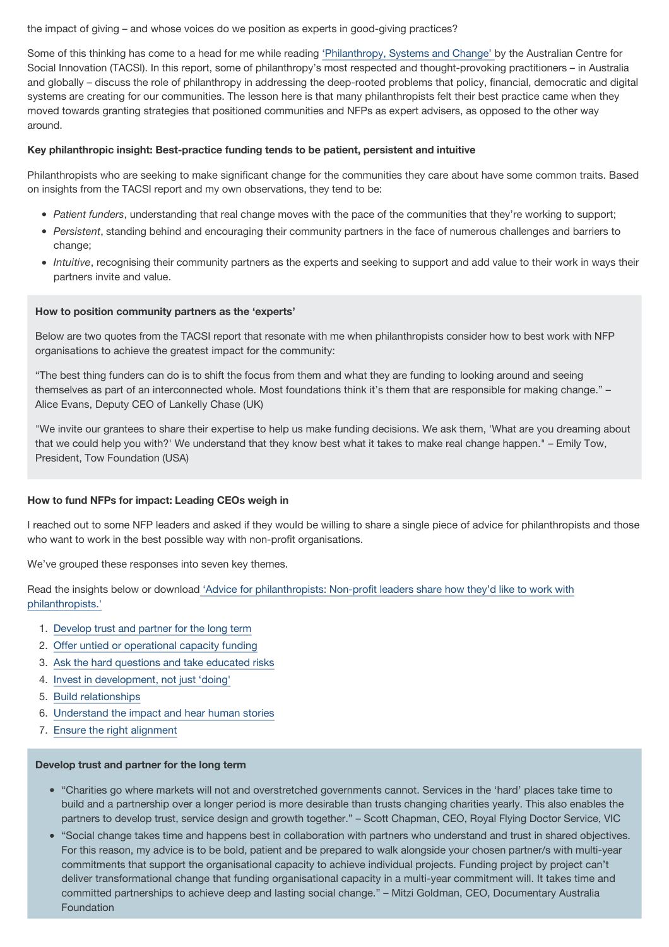the impact of giving – and whose voices do we position as experts in good-giving practices?

Some of this thinking has come to a head for me while reading ['Philanthropy, Systems and Change' b](https://www.tacsi.org.au/wp-content/uploads/2019/10/Philanthropy-systems-and-change.pdf)y the Australian Centre for Social Innovation (TACSI). In this report, some of philanthropy's most respected and thought-provoking practitioners – in Australia and globally – discuss the role of philanthropy in addressing the deep-rooted problems that policy, financial, democratic and digital systems are creating for our communities. The lesson here is that many philanthropists felt their best practice came when they moved towards granting strategies that positioned communities and NFPs as expert advisers, as opposed to the other way around.

# **Key philanthropic insight: Best-practice funding tends to be patient, persistent and intuitive**

Philanthropists who are seeking to make significant change for the communities they care about have some common traits. Based on insights from the TACSI report and my own observations, they tend to be:

- *Patient funders*, understanding that real change moves with the pace of the communities that they're working to support;
- *Persistent*, standing behind and encouraging their community partners in the face of numerous challenges and barriers to change;
- *Intuitive*, recognising their community partners as the experts and seeking to support and add value to their work in ways their partners invite and value.

# **How to position community partners as the 'experts'**

Below are two quotes from the TACSI report that resonate with me when philanthropists consider how to best work with NFP organisations to achieve the greatest impact for the community:

"The best thing funders can do is to shift the focus from them and what they are funding to looking around and seeing themselves as part of an interconnected whole. Most foundations think it's them that are responsible for making change." – Alice Evans, Deputy CEO of Lankelly Chase (UK)

"We invite our grantees to share their expertise to help us make funding decisions. We ask them, 'What are you dreaming about that we could help you with?' We understand that they know best what it takes to make real change happen." – Emily Tow, President, Tow Foundation (USA)

# **How to fund NFPs for impact: Leading CEOs weigh in**

I reached out to some NFP leaders and asked if they would be willing to share a single piece of advice for philanthropists and those who want to work in the best possible way with non-profit organisations.

We've grouped these responses into seven key themes.

[Read the insights below or download 'Advice for philanthropists: Non-profit leaders share how they'd like to work with](https://www.perpetual.com.au/~/media/perpetual/pdf/pp/advice_for_philanthropists_from_nfp_leaders.ashx?la=en) philanthropists.'

- 1. [Develop trust and partner for the long term](#page-1-0)
- 2. [Offer untied or operational capacity funding](#page-2-0)
- 3. [Ask the hard questions and take educated risks](#page-2-1)
- 4. [Invest in development, not just 'doing'](#page-2-2)
- 5. [Build relationships](#page-2-3)
- 6. [Understand the impact and hear human stories](#page-3-0)
- 7. [Ensure the right alignment](#page-3-1)

# <span id="page-1-0"></span>**Develop trust and partner for the long term**

- "Charities go where markets will not and overstretched governments cannot. Services in the 'hard' places take time to build and a partnership over a longer period is more desirable than trusts changing charities yearly. This also enables the partners to develop trust, service design and growth together." – Scott Chapman, CEO, Royal Flying Doctor Service, VIC
- "Social change takes time and happens best in collaboration with partners who understand and trust in shared objectives. For this reason, my advice is to be bold, patient and be prepared to walk alongside your chosen partner/s with multi-year commitments that support the organisational capacity to achieve individual projects. Funding project by project can't deliver transformational change that funding organisational capacity in a multi-year commitment will. It takes time and committed partnerships to achieve deep and lasting social change." – Mitzi Goldman, CEO, Documentary Australia Foundation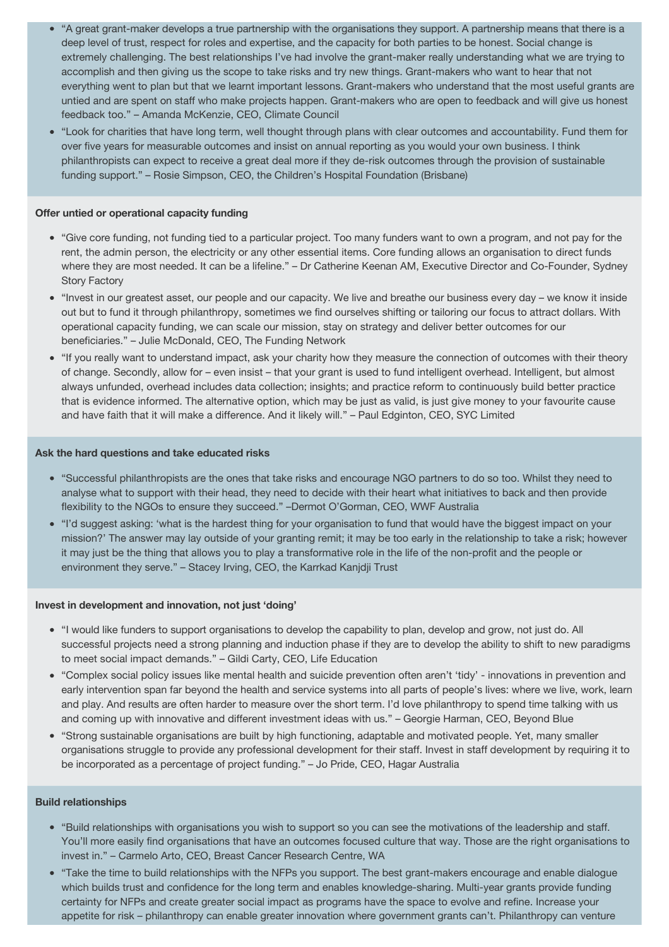- "A great grant-maker develops a true partnership with the organisations they support. A partnership means that there is a deep level of trust, respect for roles and expertise, and the capacity for both parties to be honest. Social change is extremely challenging. The best relationships I've had involve the grant-maker really understanding what we are trying to accomplish and then giving us the scope to take risks and try new things. Grant-makers who want to hear that not everything went to plan but that we learnt important lessons. Grant-makers who understand that the most useful grants are untied and are spent on staff who make projects happen. Grant-makers who are open to feedback and will give us honest feedback too." – Amanda McKenzie, CEO, Climate Council
- "Look for charities that have long term, well thought through plans with clear outcomes and accountability. Fund them for over five years for measurable outcomes and insist on annual reporting as you would your own business. I think philanthropists can expect to receive a great deal more if they de-risk outcomes through the provision of sustainable funding support." – Rosie Simpson, CEO, the Children's Hospital Foundation (Brisbane)

## <span id="page-2-0"></span>**Offer untied or operational capacity funding**

- "Give core funding, not funding tied to a particular project. Too many funders want to own a program, and not pay for the rent, the admin person, the electricity or any other essential items. Core funding allows an organisation to direct funds where they are most needed. It can be a lifeline." – Dr Catherine Keenan AM, Executive Director and Co-Founder, Sydney Story Factory
- "Invest in our greatest asset, our people and our capacity. We live and breathe our business every day we know it inside out but to fund it through philanthropy, sometimes we find ourselves shifting or tailoring our focus to attract dollars. With operational capacity funding, we can scale our mission, stay on strategy and deliver better outcomes for our beneficiaries." – Julie McDonald, CEO, The Funding Network
- "If you really want to understand impact, ask your charity how they measure the connection of outcomes with their theory of change. Secondly, allow for – even insist – that your grant is used to fund intelligent overhead. Intelligent, but almost always unfunded, overhead includes data collection; insights; and practice reform to continuously build better practice that is evidence informed. The alternative option, which may be just as valid, is just give money to your favourite cause and have faith that it will make a difference. And it likely will." – Paul Edginton, CEO, SYC Limited

#### <span id="page-2-1"></span>**Ask the hard questions and take educated risks**

- "Successful philanthropists are the ones that take risks and encourage NGO partners to do so too. Whilst they need to analyse what to support with their head, they need to decide with their heart what initiatives to back and then provide flexibility to the NGOs to ensure they succeed." –Dermot O'Gorman, CEO, WWF Australia
- "I'd suggest asking: 'what is the hardest thing for your organisation to fund that would have the biggest impact on your mission?' The answer may lay outside of your granting remit; it may be too early in the relationship to take a risk; however it may just be the thing that allows you to play a transformative role in the life of the non-profit and the people or environment they serve." – Stacey Irving, CEO, the Karrkad Kanjdji Trust

#### <span id="page-2-2"></span>**Invest in development and innovation, not just 'doing'**

- "I would like funders to support organisations to develop the capability to plan, develop and grow, not just do. All successful projects need a strong planning and induction phase if they are to develop the ability to shift to new paradigms to meet social impact demands." – Gildi Carty, CEO, Life Education
- "Complex social policy issues like mental health and suicide prevention often aren't 'tidy' innovations in prevention and early intervention span far beyond the health and service systems into all parts of people's lives: where we live, work, learn and play. And results are often harder to measure over the short term. I'd love philanthropy to spend time talking with us and coming up with innovative and different investment ideas with us." – Georgie Harman, CEO, Beyond Blue
- "Strong sustainable organisations are built by high functioning, adaptable and motivated people. Yet, many smaller organisations struggle to provide any professional development for their staff. Invest in staff development by requiring it to be incorporated as a percentage of project funding." – Jo Pride, CEO, Hagar Australia

#### <span id="page-2-3"></span>**Build relationships**

- "Build relationships with organisations you wish to support so you can see the motivations of the leadership and staff. You'll more easily find organisations that have an outcomes focused culture that way. Those are the right organisations to invest in." – Carmelo Arto, CEO, Breast Cancer Research Centre, WA
- "Take the time to build relationships with the NFPs you support. The best grant-makers encourage and enable dialogue which builds trust and confidence for the long term and enables knowledge-sharing. Multi-year grants provide funding certainty for NFPs and create greater social impact as programs have the space to evolve and refine. Increase your appetite for risk – philanthropy can enable greater innovation where government grants can't. Philanthropy can venture